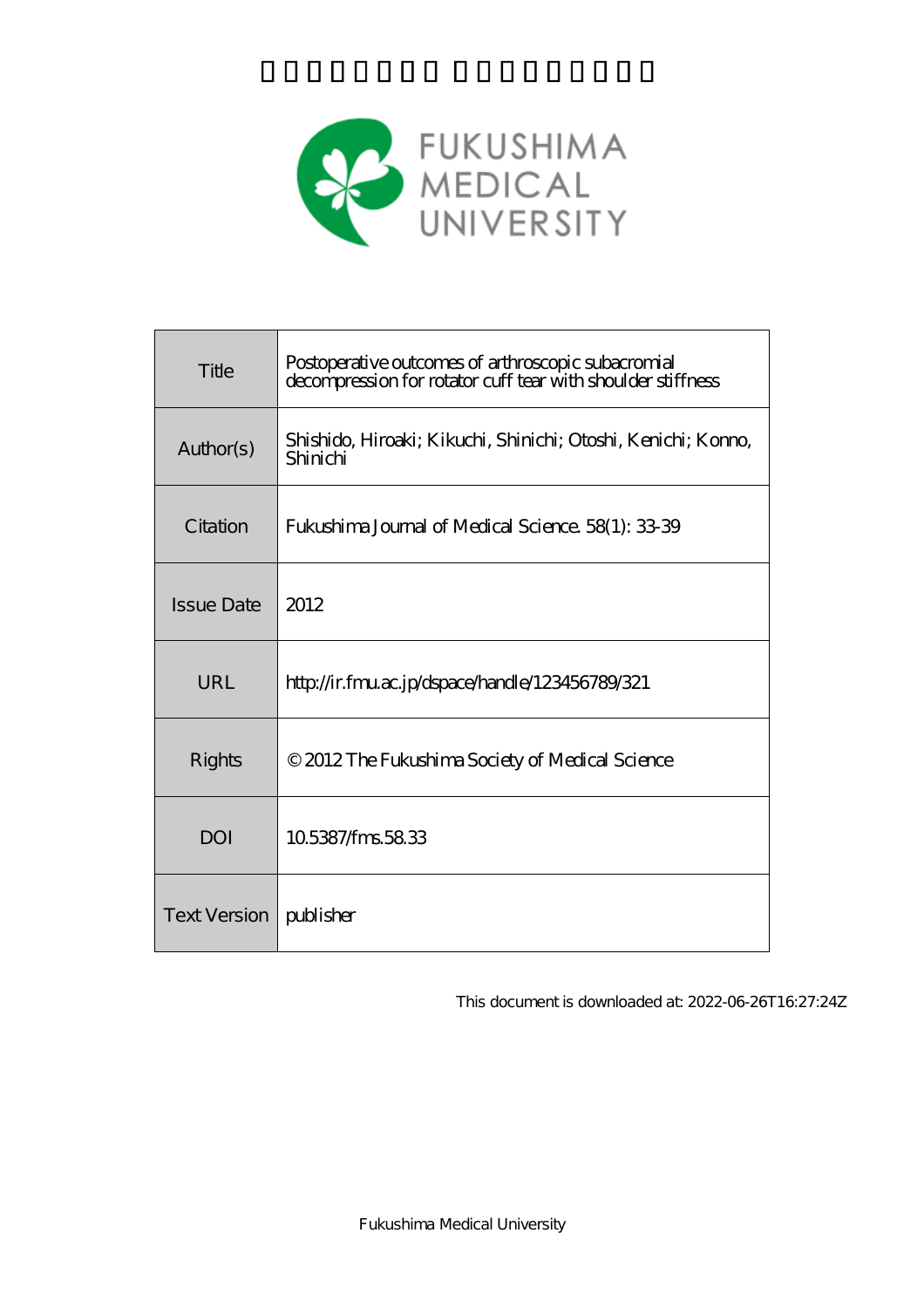

| Title             | Postoperative outcomes of arthroscopic subacromial<br>decompression for rotator cuff tear with shoulder stiffness |
|-------------------|-------------------------------------------------------------------------------------------------------------------|
| Author(s)         | Shishido, Hiroaki; Kikuchi, Shinichi; Otoshi, Kenichi; Konno,<br>Shinichi                                         |
| Citation          | Fukushima Journal of Medical Science. 58(1): 33-39                                                                |
| <b>Issue Date</b> | 2012                                                                                                              |
| URL               | http://ir.fmu.ac.jp/dspace/handle/123456789/321                                                                   |
|                   |                                                                                                                   |
| Rights            | © 2012 The Fukushima Society of Medical Science                                                                   |
| <b>DOI</b>        | 105387/fms5833                                                                                                    |

This document is downloaded at: 2022-06-26T16:27:24Z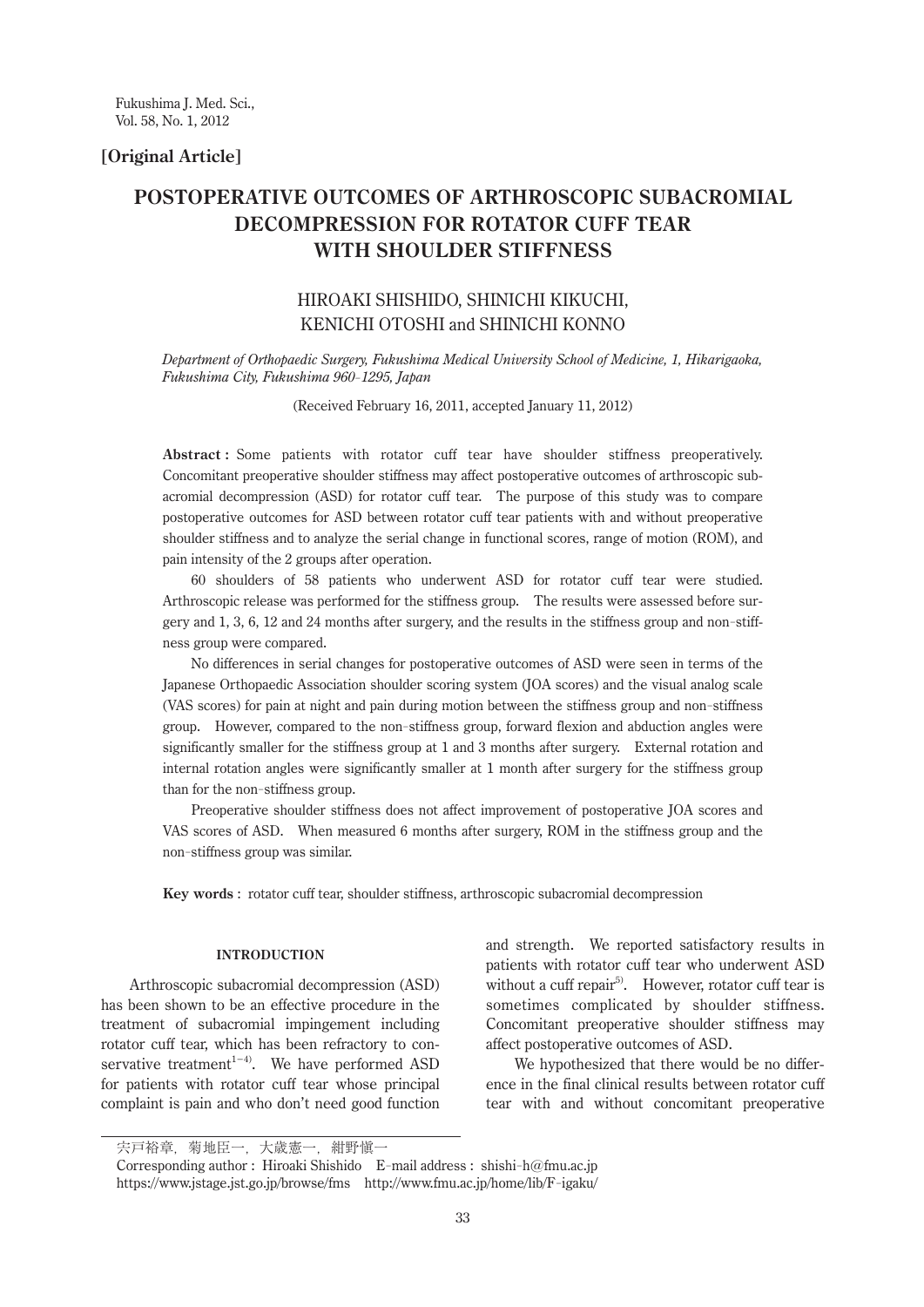# **[Original Article]**

# **POSTOPERATIVE OUTCOMES OF ARTHROSCOPIC SUBACROMIAL DECOMPRESSION FOR ROTATOR CUFF TEAR WITH SHOULDER STIFFNESS**

# HIROAKI SHISHIDO, SHINICHI KIKUCHI, KENICHI OTOSHI and SHINICHI KONNO

*Department of Orthopaedic Surgery, Fukushima Medical University School of Medicine, 1, Hikarigaoka, Fukushima City, Fukushima 960- 1295, Japan*

(Received February 16, 2011, accepted January 11, 2012)

**Abstract :** Some patients with rotator cuff tear have shoulder stiffness preoperatively. Concomitant preoperative shoulder stiffness may affect postoperative outcomes of arthroscopic subacromial decompression (ASD) for rotator cuff tear. The purpose of this study was to compare postoperative outcomes for ASD between rotator cuff tear patients with and without preoperative shoulder stiffness and to analyze the serial change in functional scores, range of motion (ROM), and pain intensity of the 2 groups after operation.

 60 shoulders of 58 patients who underwent ASD for rotator cuff tear were studied. Arthroscopic release was performed for the stiffness group. The results were assessed before surgery and 1, 3, 6, 12 and 24 months after surgery, and the results in the stiffness group and non-stiffness group were compared.

 No differences in serial changes for postoperative outcomes of ASD were seen in terms of the Japanese Orthopaedic Association shoulder scoring system (JOA scores) and the visual analog scale (VAS scores) for pain at night and pain during motion between the stiffness group and non-stiffness group. However, compared to the non-stiffness group, forward flexion and abduction angles were significantly smaller for the stiffness group at 1 and 3 months after surgery. External rotation and internal rotation angles were significantly smaller at 1 month after surgery for the stiffness group than for the non-stiffness group.

 Preoperative shoulder stiffness does not affect improvement of postoperative JOA scores and VAS scores of ASD. When measured 6 months after surgery, ROM in the stiffness group and the non-stiffness group was similar.

**Key words** : rotator cuff tear, shoulder stiffness, arthroscopic subacromial decompression

### **Introduction**

Arthroscopic subacromial decompression (ASD) has been shown to be an effective procedure in the treatment of subacromial impingement including rotator cuff tear, which has been refractory to conservative treatment<sup>1−4)</sup>. We have performed ASD for patients with rotator cuff tear whose principal complaint is pain and who don't need good function

and strength. We reported satisfactory results in patients with rotator cuff tear who underwent ASD without a cuff repair<sup>5)</sup>. However, rotator cuff tear is sometimes complicated by shoulder stiffness. Concomitant preoperative shoulder stiffness may affect postoperative outcomes of ASD.

We hypothesized that there would be no difference in the final clinical results between rotator cuff tear with and without concomitant preoperative

宍戸裕章,菊地臣一,大歳憲一,紺野愼一

Corresponding author : Hiroaki Shishido E-mail address : shishi-h@fmu.ac.jp https://www.jstage.jst.go.jp/browse/fms http://www.fmu.ac.jp/home/lib/F-igaku/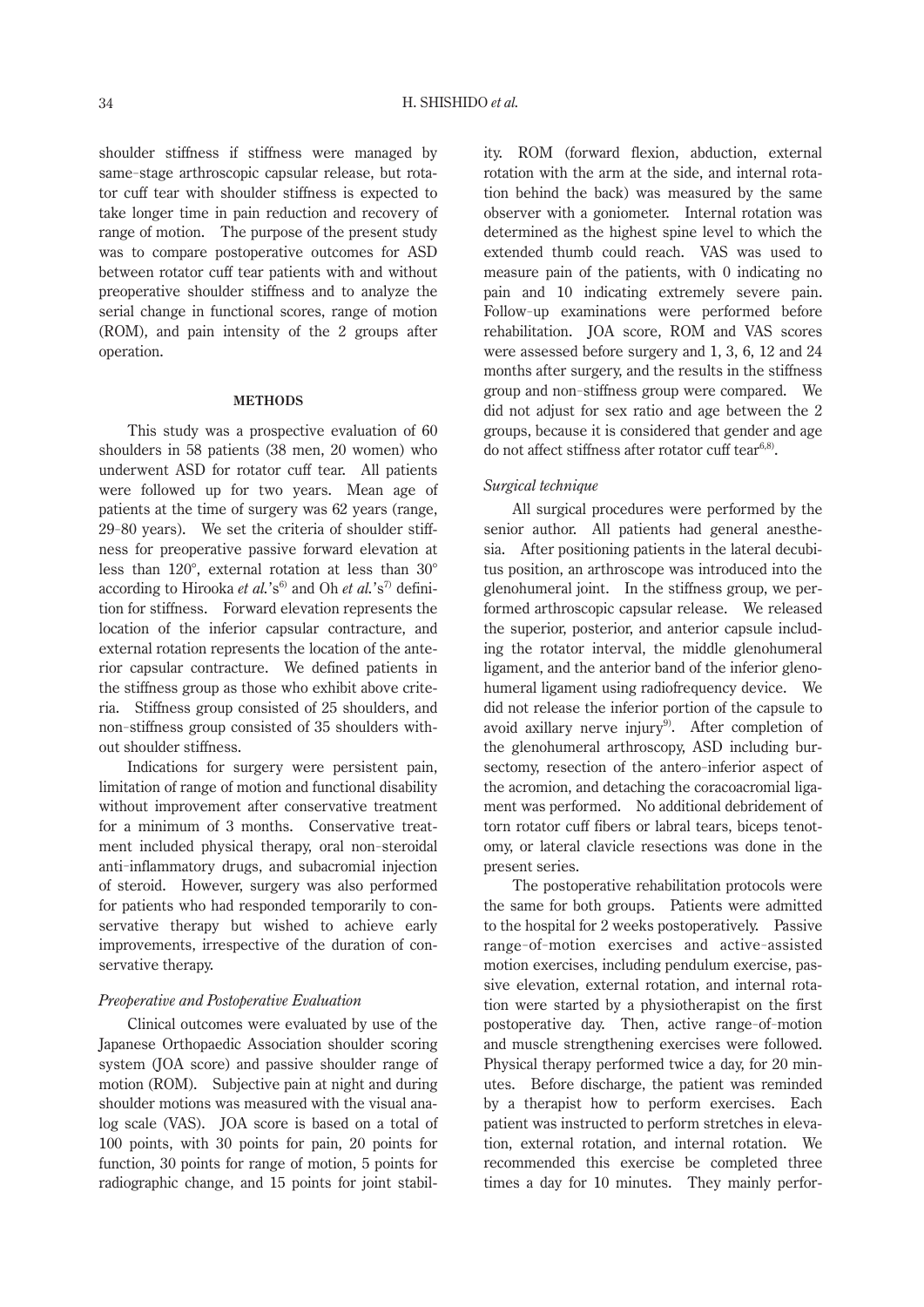shoulder stiffness if stiffness were managed by same-stage arthroscopic capsular release, but rotator cuff tear with shoulder stiffness is expected to take longer time in pain reduction and recovery of range of motion. The purpose of the present study was to compare postoperative outcomes for ASD between rotator cuff tear patients with and without preoperative shoulder stiffness and to analyze the serial change in functional scores, range of motion (ROM), and pain intensity of the 2 groups after operation.

#### **Methods**

This study was a prospective evaluation of 60 shoulders in 58 patients (38 men, 20 women) who underwent ASD for rotator cuff tear. All patients were followed up for two years. Mean age of patients at the time of surgery was 62 years (range, 29- 80 years). We set the criteria of shoulder stiffness for preoperative passive forward elevation at less than 120°, external rotation at less than 30° according to Hirooka *et al.*'s<sup>6)</sup> and Oh *et al.*'s<sup>7)</sup> definition for stiffness. Forward elevation represents the location of the inferior capsular contracture, and external rotation represents the location of the anterior capsular contracture. We defined patients in the stiffness group as those who exhibit above criteria. Stiffness group consisted of 25 shoulders, and non-stiffness group consisted of 35 shoulders without shoulder stiffness.

Indications for surgery were persistent pain, limitation of range of motion and functional disability without improvement after conservative treatment for a minimum of 3 months. Conservative treatment included physical therapy, oral non-steroidal anti-inflammatory drugs, and subacromial injection of steroid. However, surgery was also performed for patients who had responded temporarily to conservative therapy but wished to achieve early improvements, irrespective of the duration of conservative therapy.

# *Preoperative and Postoperative Evaluation*

Clinical outcomes were evaluated by use of the Japanese Orthopaedic Association shoulder scoring system (JOA score) and passive shoulder range of motion (ROM). Subjective pain at night and during shoulder motions was measured with the visual analog scale (VAS). JOA score is based on a total of 100 points, with 30 points for pain, 20 points for function, 30 points for range of motion, 5 points for radiographic change, and 15 points for joint stability. ROM (forward flexion, abduction, external rotation with the arm at the side, and internal rotation behind the back) was measured by the same observer with a goniometer. Internal rotation was determined as the highest spine level to which the extended thumb could reach. VAS was used to measure pain of the patients, with 0 indicating no pain and 10 indicating extremely severe pain. Follow-up examinations were performed before rehabilitation. JOA score, ROM and VAS scores were assessed before surgery and 1, 3, 6, 12 and 24 months after surgery, and the results in the stiffness group and non-stiffness group were compared. We did not adjust for sex ratio and age between the 2 groups, because it is considered that gender and age do not affect stiffness after rotator cuff tear $6,8$ .

# *Surgical technique*

All surgical procedures were performed by the senior author. All patients had general anesthesia. After positioning patients in the lateral decubitus position, an arthroscope was introduced into the glenohumeral joint. In the stiffness group, we performed arthroscopic capsular release. We released the superior, posterior, and anterior capsule including the rotator interval, the middle glenohumeral ligament, and the anterior band of the inferior glenohumeral ligament using radiofrequency device. We did not release the inferior portion of the capsule to avoid axillary nerve injury<sup>9</sup>. After completion of the glenohumeral arthroscopy, ASD including bursectomy, resection of the antero-inferior aspect of the acromion, and detaching the coracoacromial ligament was performed. No additional debridement of torn rotator cuff fibers or labral tears, biceps tenotomy, or lateral clavicle resections was done in the present series.

The postoperative rehabilitation protocols were the same for both groups. Patients were admitted to the hospital for 2 weeks postoperatively. Passive range-of-motion exercises and active-assisted motion exercises, including pendulum exercise, passive elevation, external rotation, and internal rotation were started by a physiotherapist on the first postoperative day. Then, active range-of-motion and muscle strengthening exercises were followed. Physical therapy performed twice a day, for 20 minutes. Before discharge, the patient was reminded by a therapist how to perform exercises. Each patient was instructed to perform stretches in elevation, external rotation, and internal rotation. We recommended this exercise be completed three times a day for 10 minutes. They mainly perfor-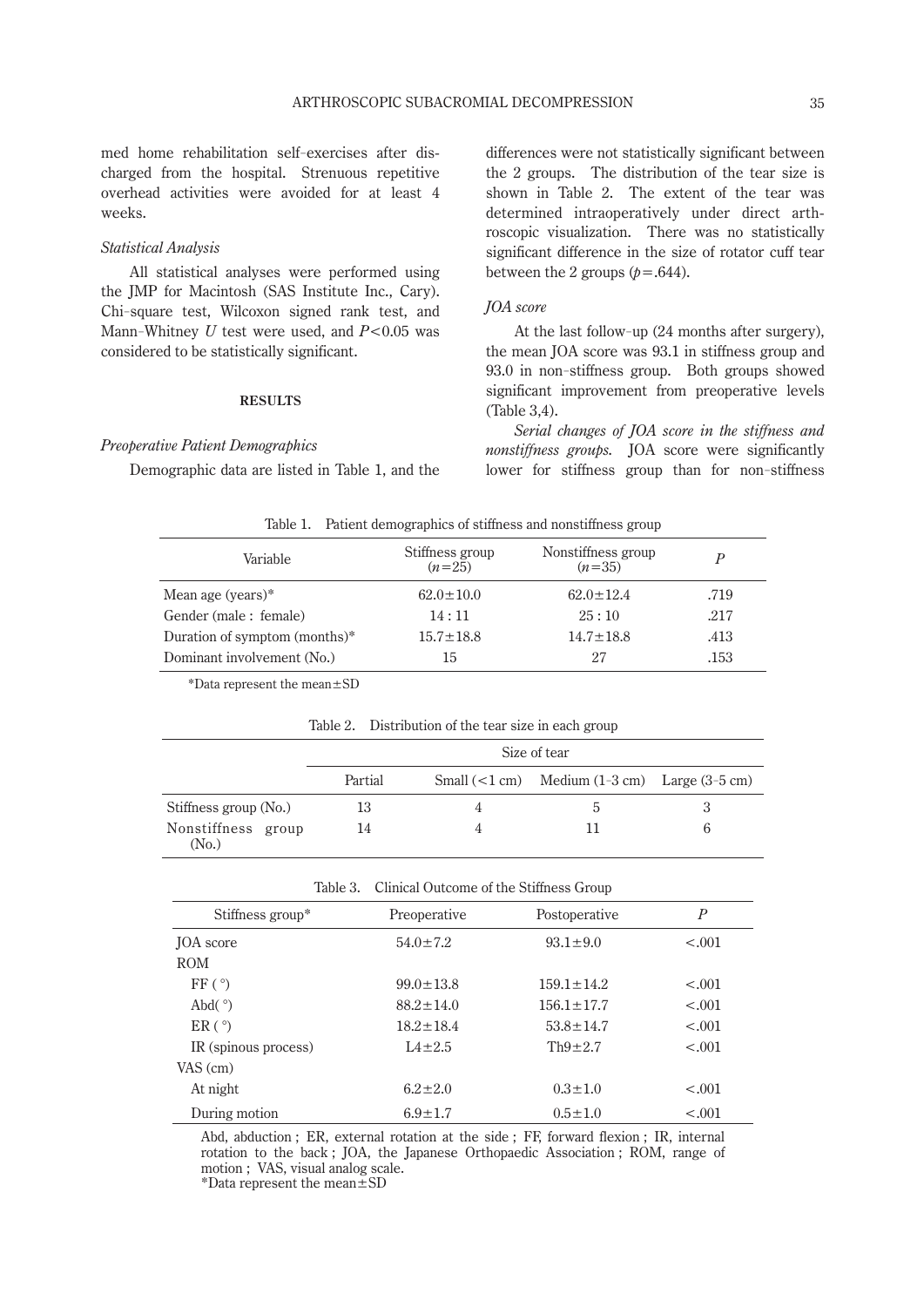med home rehabilitation self-exercises after discharged from the hospital. Strenuous repetitive overhead activities were avoided for at least 4 weeks.

# *Statistical Analysis*

All statistical analyses were performed using the JMP for Macintosh (SAS Institute Inc., Cary). Chi-square test, Wilcoxon signed rank test, and Mann-Whitney *U* test were used, and *P*<0.05 was considered to be statistically significant.

# **Results**

## *Preoperative Patient Demographics*

Demographic data are listed in Table 1, and the

differences were not statistically significant between the 2 groups. The distribution of the tear size is shown in Table 2. The extent of the tear was determined intraoperatively under direct arthroscopic visualization. There was no statistically significant difference in the size of rotator cuff tear between the 2 groups  $(p=.644)$ .

## *JOA score*

At the last follow-up (24 months after surgery), the mean JOA score was 93.1 in stiffness group and 93.0 in non-stiffness group. Both groups showed significant improvement from preoperative levels (Table 3,4).

*Serial changes of JOA score in the stiffness and nonstiffness groups.* JOA score were significantly lower for stiffness group than for non-stiffness

| Table 1. | Patient demographics of stiffness and nonstiffness group |
|----------|----------------------------------------------------------|
|          |                                                          |
|          |                                                          |

| Variable                      | Stiffness group<br>$(n=25)$ | Nonstiffness group<br>$(n=35)$ |      |
|-------------------------------|-----------------------------|--------------------------------|------|
| Mean age (years) $*$          | $62.0 \pm 10.0$             | $62.0 \pm 12.4$                | .719 |
| Gender (male: female)         | 14:11                       | 25:10                          | .217 |
| Duration of symptom (months)* | $15.7 \pm 18.8$             | $14.7 \pm 18.8$                | .413 |
| Dominant involvement (No.)    | 15                          | 27                             | .153 |

\*Data represent the mean±SD

| Table 2. |                                             |  |  |  |
|----------|---------------------------------------------|--|--|--|
|          | Distribution of the tear size in each group |  |  |  |
|          |                                             |  |  |  |

|                             | Size of tear |  |                                                     |  |  |
|-----------------------------|--------------|--|-----------------------------------------------------|--|--|
|                             | Partial      |  | Small $(< 1 cm)$ Medium $(1-3 cm)$ Large $(3-5 cm)$ |  |  |
| Stiffness group (No.)       | 13           |  | $\mathcal{D}$                                       |  |  |
| Nonstiffness group<br>(No.) | 14           |  |                                                     |  |  |

| Table 3.             | Clinical Outcome of the Stiffness Group |                  |                  |  |
|----------------------|-----------------------------------------|------------------|------------------|--|
| Stiffness group*     | Preoperative                            | Postoperative    | $\boldsymbol{P}$ |  |
| <b>JOA</b> score     | $54.0 \pm 7.2$                          | $93.1 \pm 9.0$   | $-.001$          |  |
| <b>ROM</b>           |                                         |                  |                  |  |
| FF(°)                | $99.0 \pm 13.8$                         | $159.1 \pm 14.2$ | $-.001$          |  |
| Abd $(°)$            | $88.2 \pm 14.0$                         | $156.1 \pm 17.7$ | $-.001$          |  |
| ER(°)                | $18.2 \pm 18.4$                         | $53.8 \pm 14.7$  | $-.001$          |  |
| IR (spinous process) | $1.4 \pm 2.5$                           | $Th9\pm2.7$      | $-.001$          |  |
| VAS (cm)             |                                         |                  |                  |  |
| At night             | $6.2 \pm 2.0$                           | $0.3 \pm 1.0$    | $-.001$          |  |
| During motion        | $6.9 \pm 1.7$                           | $0.5 \pm 1.0$    | $-.001$          |  |

Abd, abduction ; ER, external rotation at the side ; FF, forward flexion ; IR, internal rotation to the back ; JOA, the Japanese Orthopaedic Association ; ROM, range of motion ; VAS, visual analog scale.

\*Data represent the mean±SD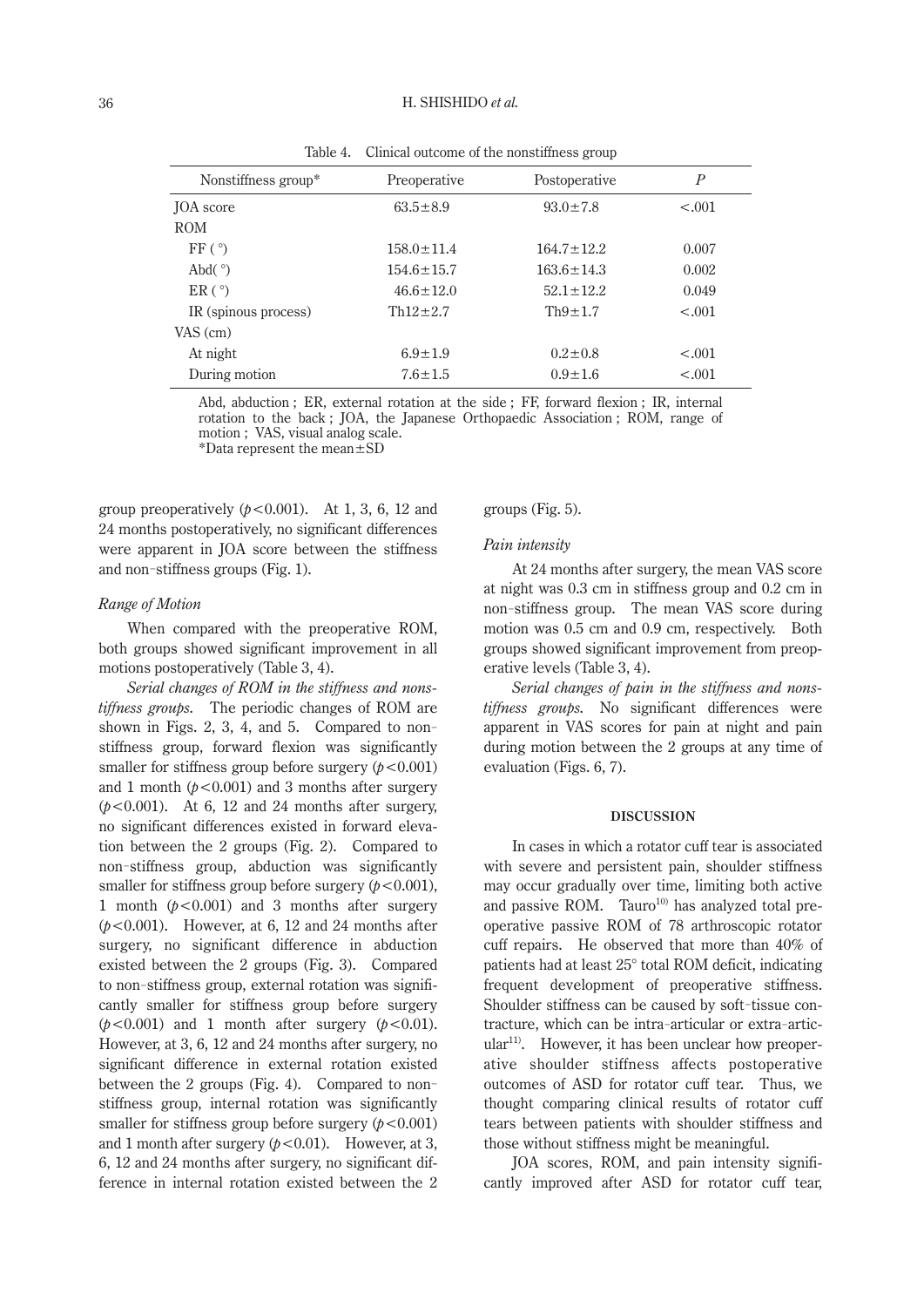#### 36 H. SHISHIDO *et al.*

| rasio 1. Chineta outcome of the honothiness group |                  |                  |         |  |  |
|---------------------------------------------------|------------------|------------------|---------|--|--|
| Nonstiffness group*                               | Preoperative     | Postoperative    | Р       |  |  |
| <b>JOA</b> score                                  | $63.5 \pm 8.9$   | $93.0 \pm 7.8$   | $-.001$ |  |  |
| <b>ROM</b>                                        |                  |                  |         |  |  |
| FF(°)                                             | $158.0 \pm 11.4$ | $164.7 \pm 12.2$ | 0.007   |  |  |
| Abd $(°)$                                         | $154.6 \pm 15.7$ | $163.6 \pm 14.3$ | 0.002   |  |  |
| ER(°)                                             | $46.6 \pm 12.0$  | $52.1 \pm 12.2$  | 0.049   |  |  |
| IR (spinous process)                              | $Th12 \pm 2.7$   | $Th9 \pm 1.7$    | $-.001$ |  |  |
| VAS (cm)                                          |                  |                  |         |  |  |
| At night                                          | $6.9 \pm 1.9$    | $0.2 \pm 0.8$    | $-.001$ |  |  |
| During motion                                     | $7.6 \pm 1.5$    | $0.9 \pm 1.6$    | $-.001$ |  |  |

Table 4. Clinical outcome of the nonstiffness group

Abd, abduction ; ER, external rotation at the side ; FF, forward flexion ; IR, internal rotation to the back ; JOA, the Japanese Orthopaedic Association ; ROM, range of motion ; VAS, visual analog scale. \*Data represent the mean±SD

group preoperatively  $(b < 0.001)$ . At 1, 3, 6, 12 and 24 months postoperatively, no significant differences were apparent in JOA score between the stiffness and non-stiffness groups (Fig. 1).

#### *Range of Motion*

When compared with the preoperative ROM, both groups showed significant improvement in all motions postoperatively (Table 3, 4).

*Serial changes of ROM in the stiffness and nonstiffness groups.* The periodic changes of ROM are shown in Figs. 2, 3, 4, and 5. Compared to nonstiffness group, forward flexion was significantly smaller for stiffness group before surgery  $(p < 0.001)$ and 1 month  $(p<0.001)$  and 3 months after surgery (*p*<0.001). At 6, 12 and 24 months after surgery, no significant differences existed in forward elevation between the 2 groups (Fig. 2). Compared to non-stiffness group, abduction was significantly smaller for stiffness group before surgery  $(p < 0.001)$ , 1 month  $(p<0.001)$  and 3 months after surgery  $(p<0.001)$ . However, at 6, 12 and 24 months after surgery, no significant difference in abduction existed between the 2 groups (Fig. 3). Compared to non-stiffness group, external rotation was significantly smaller for stiffness group before surgery  $(p<0.001)$  and 1 month after surgery  $(p<0.01)$ . However, at 3, 6, 12 and 24 months after surgery, no significant difference in external rotation existed between the 2 groups (Fig. 4). Compared to nonstiffness group, internal rotation was significantly smaller for stiffness group before surgery  $(p<0.001)$ and 1 month after surgery  $(p<0.01)$ . However, at 3, 6, 12 and 24 months after surgery, no significant difference in internal rotation existed between the 2

groups (Fig. 5).

#### *Pain intensity*

At 24 months after surgery, the mean VAS score at night was 0.3 cm in stiffness group and 0.2 cm in non-stiffness group. The mean VAS score during motion was 0.5 cm and 0.9 cm, respectively. Both groups showed significant improvement from preoperative levels (Table 3, 4).

*Serial changes of pain in the stiffness and nonstiffness groups.* No significant differences were apparent in VAS scores for pain at night and pain during motion between the 2 groups at any time of evaluation (Figs. 6, 7).

#### **Discussion**

In cases in which a rotator cuff tear is associated with severe and persistent pain, shoulder stiffness may occur gradually over time, limiting both active and passive ROM. Tauro $10$  has analyzed total preoperative passive ROM of 78 arthroscopic rotator cuff repairs. He observed that more than 40% of patients had at least 25° total ROM deficit, indicating frequent development of preoperative stiffness. Shoulder stiffness can be caused by soft-tissue contracture, which can be intra-articular or extra-articular<sup>11)</sup>. However, it has been unclear how preoperative shoulder stiffness affects postoperative outcomes of ASD for rotator cuff tear. Thus, we thought comparing clinical results of rotator cuff tears between patients with shoulder stiffness and those without stiffness might be meaningful.

JOA scores, ROM, and pain intensity significantly improved after ASD for rotator cuff tear,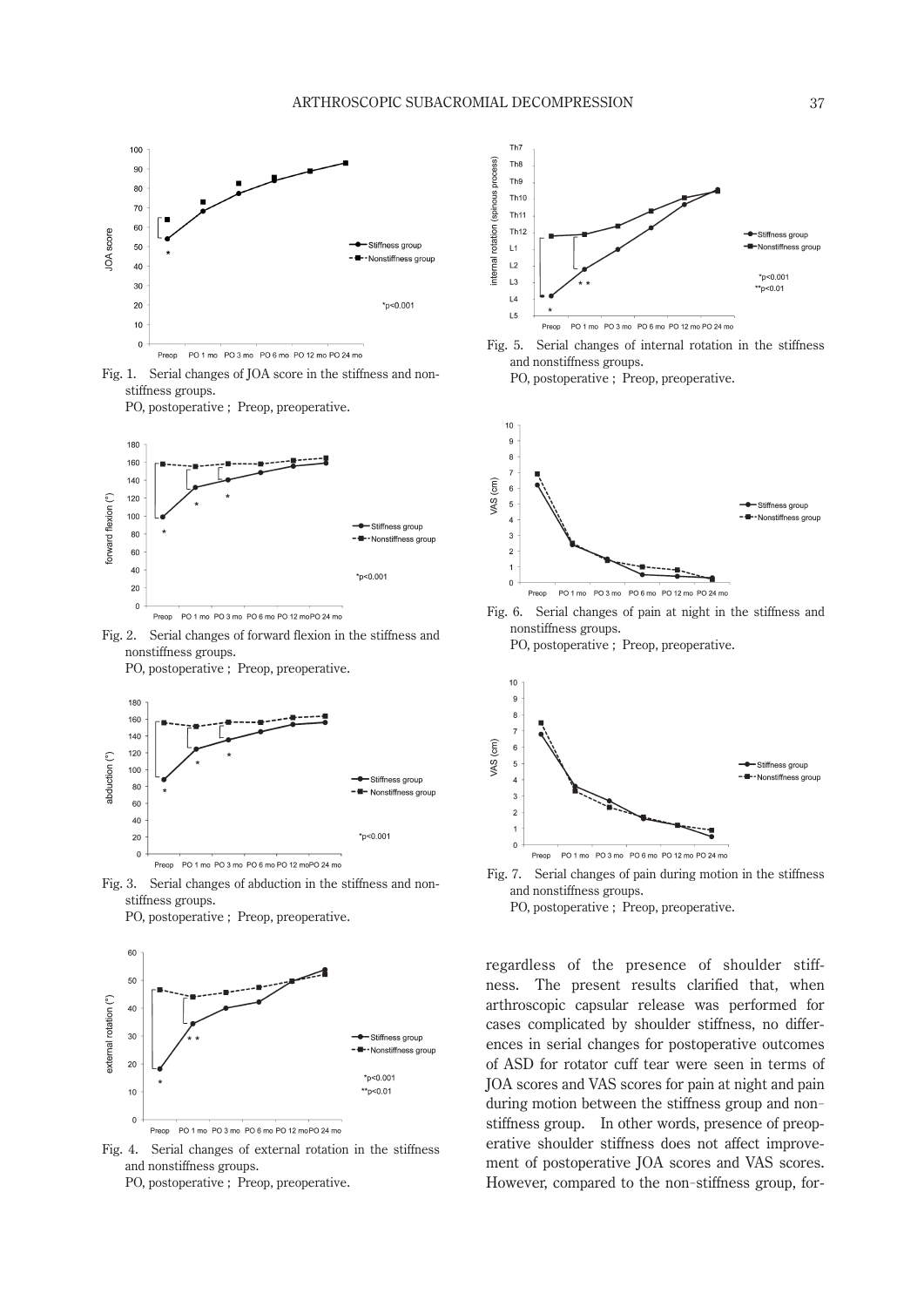

Fig. 1. Serial changes of JOA score in the stiffness and nonstiffness groups.

PO, postoperative ; Preop, preoperative.



Fig. 2. Serial changes of forward flexion in the stiffness and nonstiffness groups.

PO, postoperative ; Preop, preoperative.



Fig. 3. Serial changes of abduction in the stiffness and nonstiffness groups. PO, postoperative ; Preop, preoperative.



Fig. 4. Serial changes of external rotation in the stiffness and nonstiffness groups. PO, postoperative ; Preop, preoperative.



Fig. 5. Serial changes of internal rotation in the stiffness and nonstiffness groups.

PO, postoperative ; Preop, preoperative.







- Fig. 7. Serial changes of pain during motion in the stiffness and nonstiffness groups.
	- PO, postoperative ; Preop, preoperative.

regardless of the presence of shoulder stiffness. The present results clarified that, when arthroscopic capsular release was performed for cases complicated by shoulder stiffness, no differences in serial changes for postoperative outcomes of ASD for rotator cuff tear were seen in terms of JOA scores and VAS scores for pain at night and pain during motion between the stiffness group and nonstiffness group. In other words, presence of preoperative shoulder stiffness does not affect improvement of postoperative JOA scores and VAS scores. However, compared to the non-stiffness group, for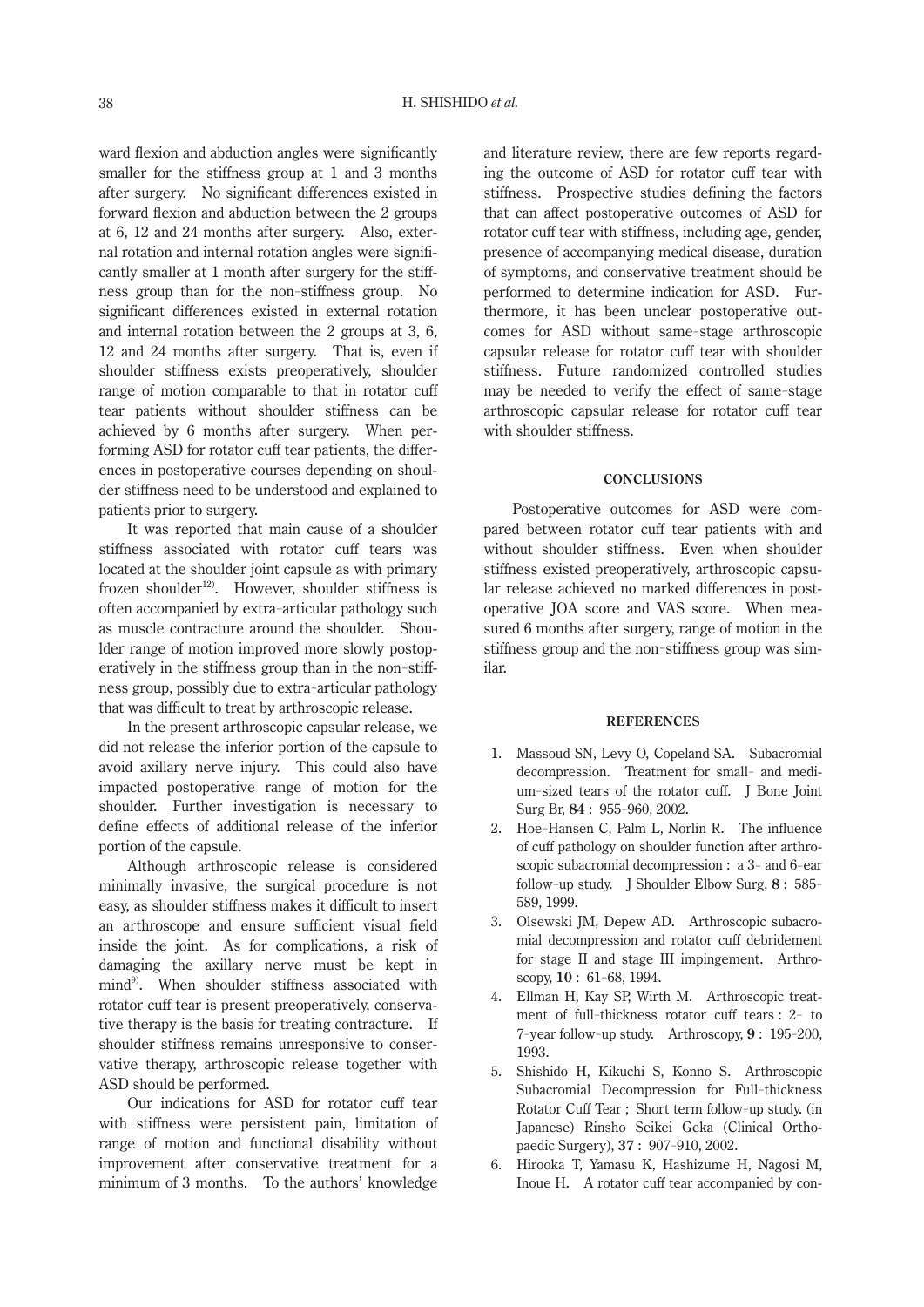ward flexion and abduction angles were significantly smaller for the stiffness group at 1 and 3 months after surgery. No significant differences existed in forward flexion and abduction between the 2 groups at 6, 12 and 24 months after surgery. Also, external rotation and internal rotation angles were significantly smaller at 1 month after surgery for the stiffness group than for the non-stiffness group. No significant differences existed in external rotation and internal rotation between the 2 groups at 3, 6, 12 and 24 months after surgery. That is, even if shoulder stiffness exists preoperatively, shoulder range of motion comparable to that in rotator cuff tear patients without shoulder stiffness can be achieved by 6 months after surgery. When performing ASD for rotator cuff tear patients, the differences in postoperative courses depending on shoulder stiffness need to be understood and explained to patients prior to surgery.

It was reported that main cause of a shoulder stiffness associated with rotator cuff tears was located at the shoulder joint capsule as with primary frozen shoulder<sup>12)</sup>. However, shoulder stiffness is often accompanied by extra-articular pathology such as muscle contracture around the shoulder. Shoulder range of motion improved more slowly postoperatively in the stiffness group than in the non-stiffness group, possibly due to extra-articular pathology that was difficult to treat by arthroscopic release.

In the present arthroscopic capsular release, we did not release the inferior portion of the capsule to avoid axillary nerve injury. This could also have impacted postoperative range of motion for the shoulder. Further investigation is necessary to define effects of additional release of the inferior portion of the capsule.

Although arthroscopic release is considered minimally invasive, the surgical procedure is not easy, as shoulder stiffness makes it difficult to insert an arthroscope and ensure sufficient visual field inside the joint. As for complications, a risk of damaging the axillary nerve must be kept in mind<sup>9)</sup>. When shoulder stiffness associated with rotator cuff tear is present preoperatively, conservative therapy is the basis for treating contracture. If shoulder stiffness remains unresponsive to conservative therapy, arthroscopic release together with ASD should be performed.

Our indications for ASD for rotator cuff tear with stiffness were persistent pain, limitation of range of motion and functional disability without improvement after conservative treatment for a minimum of 3 months. To the authors' knowledge

and literature review, there are few reports regarding the outcome of ASD for rotator cuff tear with stiffness. Prospective studies defining the factors that can affect postoperative outcomes of ASD for rotator cuff tear with stiffness, including age, gender, presence of accompanying medical disease, duration of symptoms, and conservative treatment should be performed to determine indication for ASD. Furthermore, it has been unclear postoperative outcomes for ASD without same-stage arthroscopic capsular release for rotator cuff tear with shoulder stiffness. Future randomized controlled studies may be needed to verify the effect of same-stage arthroscopic capsular release for rotator cuff tear with shoulder stiffness.

#### **Conclusions**

Postoperative outcomes for ASD were compared between rotator cuff tear patients with and without shoulder stiffness. Even when shoulder stiffness existed preoperatively, arthroscopic capsular release achieved no marked differences in postoperative JOA score and VAS score. When measured 6 months after surgery, range of motion in the stiffness group and the non-stiffness group was similar.

#### **References**

- 1. Massoud SN, Levy O, Copeland SA. Subacromial decompression. Treatment for small- and medium-sized tears of the rotator cuff. J Bone Joint Surg Br, **84** : 955- 960, 2002.
- 2. Hoe-Hansen C, Palm L, Norlin R. The influence of cuff pathology on shoulder function after arthroscopic subacromial decompression : a 3- and 6-ear follow-up study. J Shoulder Elbow Surg, **8** : 585- 589, 1999.
- 3. Olsewski JM, Depew AD. Arthroscopic subacromial decompression and rotator cuff debridement for stage II and stage III impingement. Arthroscopy, **10** : 61- 68, 1994.
- 4. Ellman H, Kay SP, Wirth M. Arthroscopic treatment of full-thickness rotator cuff tears : 2- to 7- year follow-up study. Arthroscopy, **9** : 195- 200, 1993.
- 5. Shishido H, Kikuchi S, Konno S. Arthroscopic Subacromial Decompression for Full-thickness Rotator Cuff Tear ; Short term follow-up study. (in Japanese) Rinsho Seikei Geka (Clinical Orthopaedic Surgery), **37** : 907- 910, 2002.
- 6. Hirooka T, Yamasu K, Hashizume H, Nagosi M, Inoue H. A rotator cuff tear accompanied by con-